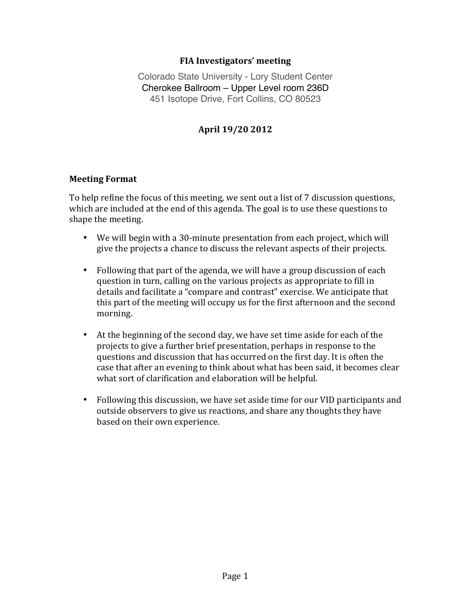### **FIA Investigators' meeting**

Colorado State University - Lory Student Center Cherokee Ballroom – Upper Level room 236D 451 Isotope Drive, Fort Collins, CO 80523

# **April 19/20\$2012**

### **Meeting Format**

To help refine the focus of this meeting, we sent out a list of 7 discussion questions, which are included at the end of this agenda. The goal is to use these questions to shape the meeting.

- We will begin with a 30-minute presentation from each project, which will give the projects a chance to discuss the relevant aspects of their projects.
- Following that part of the agenda, we will have a group discussion of each question in turn, calling on the various projects as appropriate to fill in details and facilitate a "compare and contrast" exercise. We anticipate that this part of the meeting will occupy us for the first afternoon and the second morning.
- At the beginning of the second day, we have set time aside for each of the projects to give a further brief presentation, perhaps in response to the questions and discussion that has occurred on the first day. It is often the case that after an evening to think about what has been said, it becomes clear what sort of clarification and elaboration will be helpful.
- Following this discussion, we have set aside time for our VID participants and outside observers to give us reactions, and share any thoughts they have based on their own experience.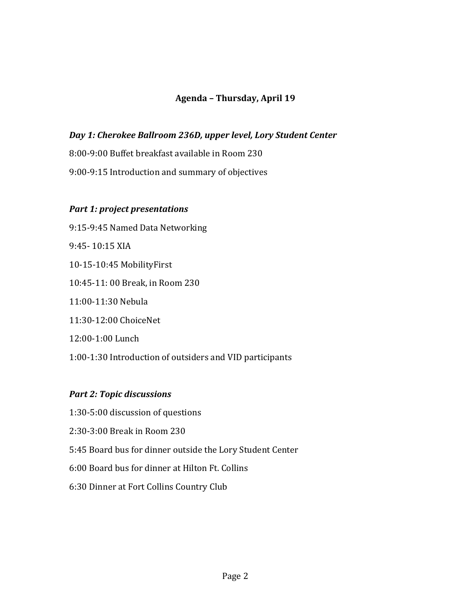# Agenda - Thursday, April 19

# *Day 1: Cherokee Ballroom 236D, upper level, Lory Student Center*

8:00-9:00 Buffet breakfast available in Room 230

9:00-9:15 Introduction and summary of objectives

### *Part 1: project presentations*

9:15-9:45 Named Data Networking 9:45-10:15 XIA 10-15-10:45 MobilityFirst 10:45-11: 00 Break, in Room 230 11:00-11:30 Nebula 11:30-12:00 ChoiceNet 12:00-1:00 Lunch 1:00-1:30 Introduction of outsiders and VID participants

### *Part 2: Topic discussions*

- 1:30-5:00 discussion of questions
- 2:30-3:00 Break in Room 230
- 5:45 Board bus for dinner outside the Lory Student Center
- 6:00 Board bus for dinner at Hilton Ft. Collins
- 6:30 Dinner at Fort Collins Country Club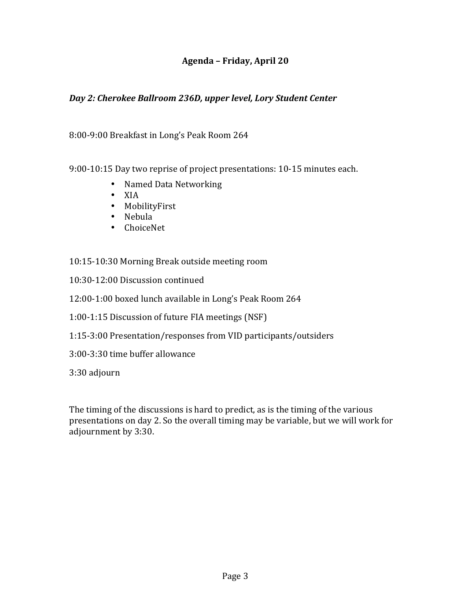## Agenda – Friday, April 20

### *Day 2: Cherokee Ballroom 236D, upper level, Lory Student Center*

#### 8:00-9:00 Breakfast in Long's Peak Room 264

9:00-10:15 Day two reprise of project presentations: 10-15 minutes each.

- Named Data Networking
- XIA
- MobilityFirst
- Nebula
- ChoiceNet

### 10:15-10:30 Morning Break outside meeting room

- 10:30-12:00 Discussion continued
- 12:00-1:00 boxed lunch available in Long's Peak Room 264
- 1:00-1:15 Discussion of future FIA meetings (NSF)
- 1:15-3:00 Presentation/responses from VID participants/outsiders
- 3:00-3:30 time buffer allowance

3:30 adjourn

The timing of the discussions is hard to predict, as is the timing of the various presentations on day 2. So the overall timing may be variable, but we will work for adjournment by 3:30.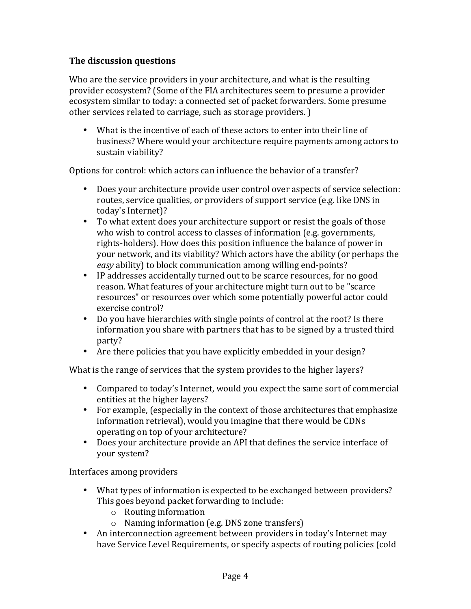# **The discussion questions**

Who are the service providers in your architecture, and what is the resulting provider ecosystem? (Some of the FIA architectures seem to presume a provider ecosystem similar to today: a connected set of packet forwarders. Some presume other services related to carriage, such as storage providers.)

• What is the incentive of each of these actors to enter into their line of business? Where would your architecture require payments among actors to sustain viability?

Options for control: which actors can influence the behavior of a transfer?

- Does your architecture provide user control over aspects of service selection: routes, service qualities, or providers of support service (e.g. like DNS in today's Internet)?
- To what extent does your architecture support or resist the goals of those who wish to control access to classes of information (e.g. governments, rights-holders). How does this position influence the balance of power in your network, and its viability? Which actors have the ability (or perhaps the *easy* ability) to block communication among willing end-points?
- IP addresses accidentally turned out to be scarce resources, for no good reason. What features of your architecture might turn out to be "scarce" resources" or resources over which some potentially powerful actor could exercise control?
- Do you have hierarchies with single points of control at the root? Is there information you share with partners that has to be signed by a trusted third party?
- Are there policies that you have explicitly embedded in your design?

What is the range of services that the system provides to the higher layers?

- Compared to today's Internet, would you expect the same sort of commercial entities at the higher layers?
- For example, (especially in the context of those architectures that emphasize information retrieval), would you imagine that there would be CDNs operating on top of your architecture?
- Does your architecture provide an API that defines the service interface of your system?

Interfaces among providers

- What types of information is expected to be exchanged between providers? This goes beyond packet forwarding to include:
	- $\circ$  Routing information
	- $\circ$  Naming information (e.g. DNS zone transfers)
- An interconnection agreement between providers in today's Internet may have Service Level Requirements, or specify aspects of routing policies (cold